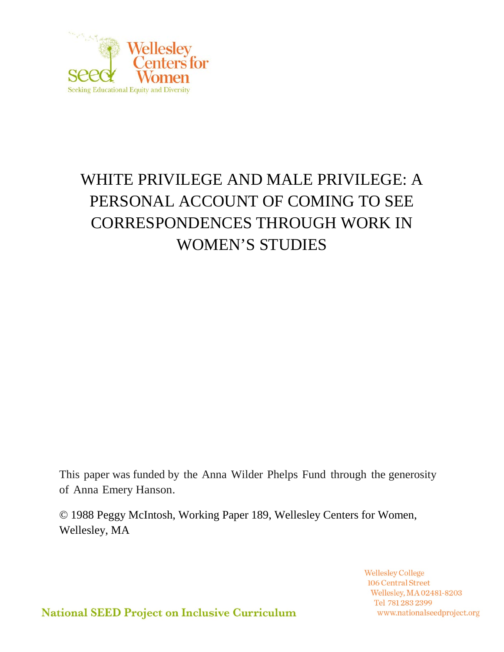

# WHITE PRIVILEGE AND MALE PRIVILEGE: A PERSONAL ACCOUNT OF COMING TO SEE CORRESPONDENCES THROUGH WORK IN WOMEN'S STUDIES

This paper was funded by the Anna Wilder Phelps Fund through the generosity of Anna Emery Hanson.

© 1988 Peggy McIntosh, Working Paper 189, Wellesley Centers for Women, Wellesley, MA

> **Wellesley College** 106 Central Street Wellesley, MA 02481-8203 Tel 781 283 2399 www.nationalseedproject.org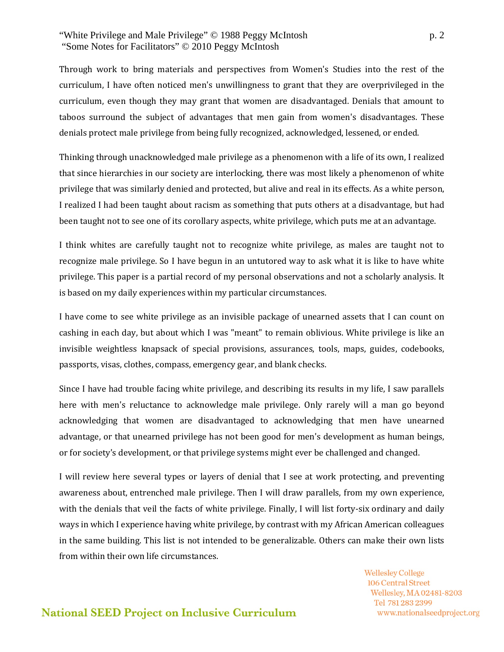#### "White Privilege and Male Privilege" © 1988 Peggy McIntosh p. 2 "Some Notes for Facilitators" © 2010 Peggy McIntosh

Through work to bring materials and perspectives from Women's Studies into the rest of the curriculum, I have often noticed men's unwillingness to grant that they are overprivileged in the curriculum, even though they may grant that women are disadvantaged. Denials that amount to taboos surround the subject of advantages that men gain from women's disadvantages. These denials protect male privilege from being fully recognized, acknowledged, lessened, or ended.

Thinking through unacknowledged male privilege as a phenomenon with a life of its own, I realized that since hierarchies in our society are interlocking, there was most likely a phenomenon of white privilege that was similarly denied and protected, but alive and real in its effects. As a white person, I realized I had been taught about racism as something that puts others at a disadvantage, but had been taught not to see one of its corollary aspects, white privilege, which puts me at an advantage.

I think whites are carefully taught not to recognize white privilege, as males are taught not to recognize male privilege. So I have begun in an untutored way to ask what it is like to have white privilege. This paper is a partial record of my personal observations and not a scholarly analysis. It is based on my daily experiences within my particular circumstances.

I have come to see white privilege as an invisible package of unearned assets that I can count on cashing in each day, but about which I was "meant" to remain oblivious. White privilege is like an invisible weightless knapsack of special provisions, assurances, tools, maps, guides, codebooks, passports, visas, clothes, compass, emergency gear, and blank checks.

Since I have had trouble facing white privilege, and describing its results in my life, I saw parallels here with men's reluctance to acknowledge male privilege. Only rarely will a man go beyond acknowledging that women are disadvantaged to acknowledging that men have unearned advantage, or that unearned privilege has not been good for men's development as human beings, or for society's development, or that privilege systems might ever be challenged and changed.

I will review here several types or layers of denial that I see at work protecting, and preventing awareness about, entrenched male privilege. Then I will draw parallels, from my own experience, with the denials that veil the facts of white privilege. Finally, I will list forty-six ordinary and daily ways in which I experience having white privilege, by contrast with my African American colleagues in the same building. This list is not intended to be generalizable. Others can make their own lists from within their own life circumstances.

> **Wellesley College** 106 Central Street Wellesley, MA 02481-8203 Tel 781 283 2399 www.nationalseedproject.org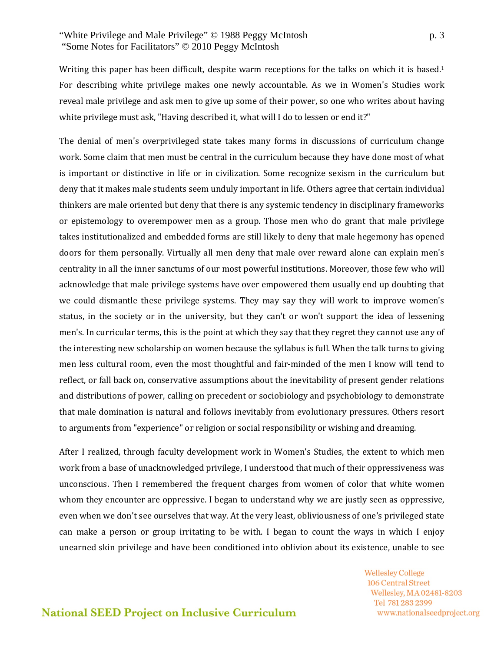#### "White Privilege and Male Privilege" © 1988 Peggy McIntosh p. 3 "Some Notes for Facilitators" © 2010 Peggy McIntosh

Writing this paper has been difficult, despite warm receptions for the talks on which it is based.<sup>1</sup> For describing white privilege makes one newly accountable. As we in Women's Studies work reveal male privilege and ask men to give up some of their power, so one who writes about having white privilege must ask, "Having described it, what will I do to lessen or end it?"

The denial of men's overprivileged state takes many forms in discussions of curriculum change work. Some claim that men must be central in the curriculum because they have done most of what is important or distinctive in life or in civilization. Some recognize sexism in the curriculum but deny that it makes male students seem unduly important in life. Others agree that certain individual thinkers are male oriented but deny that there is any systemic tendency in disciplinary frameworks or epistemology to overempower men as a group. Those men who do grant that male privilege takes institutionalized and embedded forms are still likely to deny that male hegemony has opened doors for them personally. Virtually all men deny that male over reward alone can explain men's centrality in all the inner sanctums of our most powerful institutions. Moreover, those few who will acknowledge that male privilege systems have over empowered them usually end up doubting that we could dismantle these privilege systems. They may say they will work to improve women's status, in the society or in the university, but they can't or won't support the idea of lessening men's. In curricular terms, this is the point at which they say that they regret they cannot use any of the interesting new scholarship on women because the syllabus is full. When the talk turns to giving men less cultural room, even the most thoughtful and fair-minded of the men I know will tend to reflect, or fall back on, conservative assumptions about the inevitability of present gender relations and distributions of power, calling on precedent or sociobiology and psychobiology to demonstrate that male domination is natural and follows inevitably from evolutionary pressures. Others resort to arguments from "experience" or religion or social responsibility or wishing and dreaming.

After I realized, through faculty development work in Women's Studies, the extent to which men work from a base of unacknowledged privilege, I understood that much of their oppressiveness was unconscious. Then I remembered the frequent charges from women of color that white women whom they encounter are oppressive. I began to understand why we are justly seen as oppressive, even when we don't see ourselves that way. At the very least, obliviousness of one's privileged state can make a person or group irritating to be with. I began to count the ways in which I enjoy unearned skin privilege and have been conditioned into oblivion about its existence, unable to see

> **Wellesley College** 106 Central Street Wellesley, MA 02481-8203 Tel 781 283 2399 www.nationalseedproject.org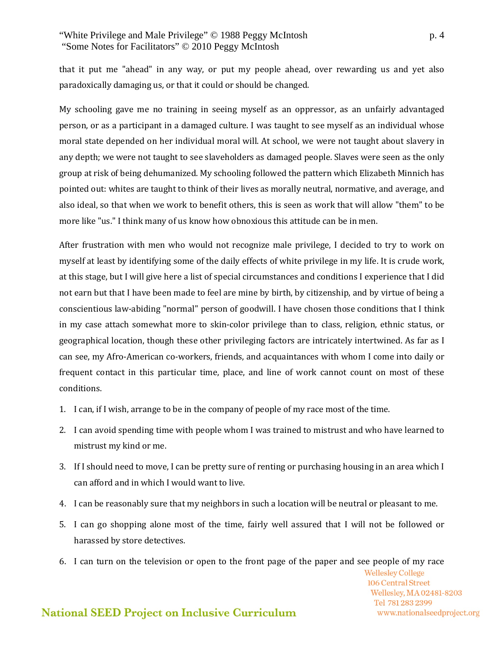#### "White Privilege and Male Privilege" © 1988 Peggy McIntosh p. 4 "Some Notes for Facilitators" © 2010 Peggy McIntosh

that it put me "ahead" in any way, or put my people ahead, over rewarding us and yet also paradoxically damaging us, or that it could or should be changed.

My schooling gave me no training in seeing myself as an oppressor, as an unfairly advantaged person, or as a participant in a damaged culture. I was taught to see myself as an individual whose moral state depended on her individual moral will. At school, we were not taught about slavery in any depth; we were not taught to see slaveholders as damaged people. Slaves were seen as the only group at risk of being dehumanized. My schooling followed the pattern which Elizabeth Minnich has pointed out: whites are taught to think of their lives as morally neutral, normative, and average, and also ideal, so that when we work to benefit others, this is seen as work that will allow "them" to be more like "us." I think many of us know how obnoxious this attitude can be in men.

After frustration with men who would not recognize male privilege, I decided to try to work on myself at least by identifying some of the daily effects of white privilege in my life. It is crude work, at this stage, but I will give here a list of special circumstances and conditions I experience that I did not earn but that I have been made to feel are mine by birth, by citizenship, and by virtue of being a conscientious law-abiding "normal" person of goodwill. I have chosen those conditions that I think in my case attach somewhat more to skin-color privilege than to class, religion, ethnic status, or geographical location, though these other privileging factors are intricately intertwined. As far as I can see, my Afro-American co-workers, friends, and acquaintances with whom I come into daily or frequent contact in this particular time, place, and line of work cannot count on most of these conditions.

- 1. I can, if I wish, arrange to be in the company of people of my race most of the time.
- 2. I can avoid spending time with people whom I was trained to mistrust and who have learned to mistrust my kind or me.
- 3. If I should need to move, I can be pretty sure of renting or purchasing housing in an area which I can afford and in which I would want to live.
- 4. I can be reasonably sure that my neighbors in such a location will be neutral or pleasant to me.
- 5. I can go shopping alone most of the time, fairly well assured that I will not be followed or harassed by store detectives.
- 6. I can turn on the television or open to the front page of the paper and see people of my race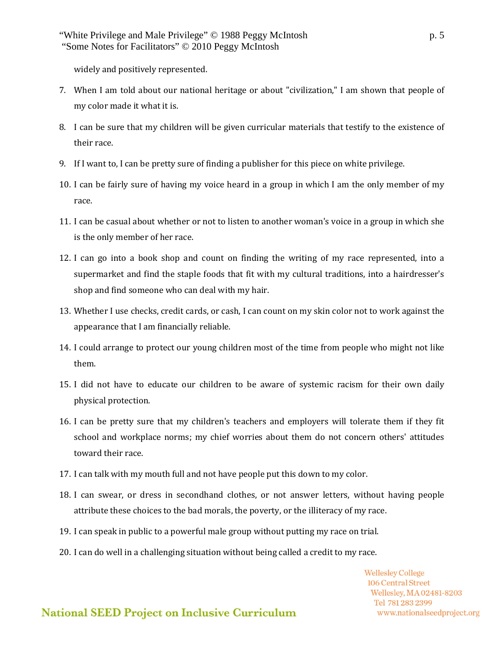widely and positively represented.

- 7. When I am told about our national heritage or about "civilization," I am shown that people of my color made it what it is.
- 8. I can be sure that my children will be given curricular materials that testify to the existence of their race.
- 9. If I want to, I can be pretty sure of finding a publisher for this piece on white privilege.
- 10. I can be fairly sure of having my voice heard in a group in which I am the only member of my race.
- 11. I can be casual about whether or not to listen to another woman's voice in a group in which she is the only member of her race.
- 12. I can go into a book shop and count on finding the writing of my race represented, into a supermarket and find the staple foods that fit with my cultural traditions, into a hairdresser's shop and find someone who can deal with my hair.
- 13. Whether I use checks, credit cards, or cash, I can count on my skin color not to work against the appearance that I am financially reliable.
- 14. I could arrange to protect our young children most of the time from people who might not like them.
- 15. I did not have to educate our children to be aware of systemic racism for their own daily physical protection.
- 16. I can be pretty sure that my children's teachers and employers will tolerate them if they fit school and workplace norms; my chief worries about them do not concern others' attitudes toward their race.
- 17. I can talk with my mouth full and not have people put this down to my color.
- 18. I can swear, or dress in secondhand clothes, or not answer letters, without having people attribute these choices to the bad morals, the poverty, or the illiteracy of my race.
- 19. I can speak in public to a powerful male group without putting my race on trial.
- 20. I can do well in a challenging situation without being called a credit to my race.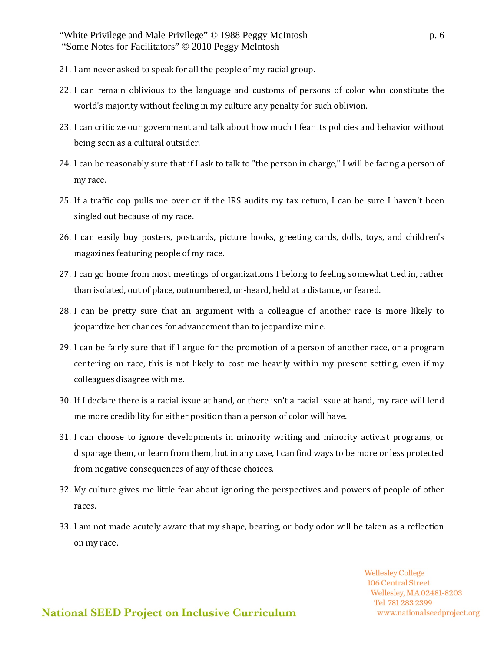- 21. I am never asked to speak for all the people of my racial group.
- 22. I can remain oblivious to the language and customs of persons of color who constitute the world's majority without feeling in my culture any penalty for such oblivion.
- 23. I can criticize our government and talk about how much I fear its policies and behavior without being seen as a cultural outsider.
- 24. I can be reasonably sure that if I ask to talk to "the person in charge," I will be facing a person of my race.
- 25. If a traffic cop pulls me over or if the IRS audits my tax return, I can be sure I haven't been singled out because of my race.
- 26. I can easily buy posters, postcards, picture books, greeting cards, dolls, toys, and children's magazines featuring people of my race.
- 27. I can go home from most meetings of organizations I belong to feeling somewhat tied in, rather than isolated, out of place, outnumbered, un-heard, held at a distance, or feared.
- 28. I can be pretty sure that an argument with a colleague of another race is more likely to jeopardize her chances for advancement than to jeopardize mine.
- 29. I can be fairly sure that if I argue for the promotion of a person of another race, or a program centering on race, this is not likely to cost me heavily within my present setting, even if my colleagues disagree with me.
- 30. If I declare there is a racial issue at hand, or there isn't a racial issue at hand, my race will lend me more credibility for either position than a person of color will have.
- 31. I can choose to ignore developments in minority writing and minority activist programs, or disparage them, or learn from them, but in any case, I can find ways to be more or less protected from negative consequences of any of these choices.
- 32. My culture gives me little fear about ignoring the perspectives and powers of people of other races.
- 33. I am not made acutely aware that my shape, bearing, or body odor will be taken as a reflection on my race.

**Wellesley College** 106 Central Street Wellesley, MA 02481-8203 Tel 781 283 2399 www.nationalseedproject.org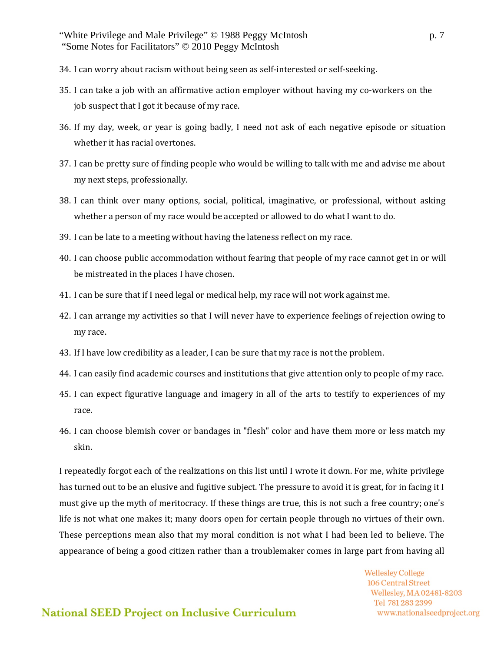- 34. I can worry about racism without being seen as self-interested or self-seeking.
- 35. I can take a job with an affirmative action employer without having my co-workers on the job suspect that I got it because of my race.
- 36. If my day, week, or year is going badly, I need not ask of each negative episode or situation whether it has racial overtones.
- 37. I can be pretty sure of finding people who would be willing to talk with me and advise me about my next steps, professionally.
- 38. I can think over many options, social, political, imaginative, or professional, without asking whether a person of my race would be accepted or allowed to do what I want to do.
- 39. I can be late to a meeting without having the lateness reflect on my race.
- 40. I can choose public accommodation without fearing that people of my race cannot get in or will be mistreated in the places I have chosen.
- 41. I can be sure that if I need legal or medical help, my race will not work against me.
- 42. I can arrange my activities so that I will never have to experience feelings of rejection owing to my race.
- 43. If I have low credibility as a leader, I can be sure that my race is not the problem.
- 44. I can easily find academic courses and institutions that give attention only to people of my race.
- 45. I can expect figurative language and imagery in all of the arts to testify to experiences of my race.
- 46. I can choose blemish cover or bandages in "flesh" color and have them more or less match my skin.

I repeatedly forgot each of the realizations on this list until I wrote it down. For me, white privilege has turned out to be an elusive and fugitive subject. The pressure to avoid it is great, for in facing it I must give up the myth of meritocracy. If these things are true, this is not such a free country; one's life is not what one makes it; many doors open for certain people through no virtues of their own. These perceptions mean also that my moral condition is not what I had been led to believe. The appearance of being a good citizen rather than a troublemaker comes in large part from having all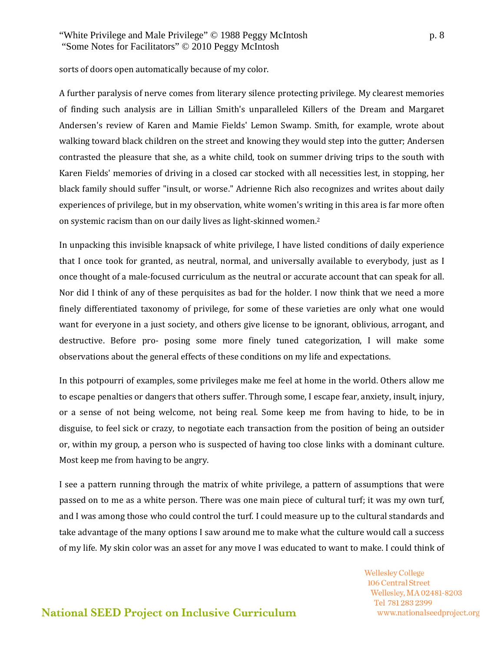#### "White Privilege and Male Privilege" © 1988 Peggy McIntosh p. 8 "Some Notes for Facilitators" © 2010 Peggy McIntosh

sorts of doors open automatically because of my color.

A further paralysis of nerve comes from literary silence protecting privilege. My clearest memories of finding such analysis are in Lillian Smith's unparalleled Killers of the Dream and Margaret Andersen's review of Karen and Mamie Fields' Lemon Swamp. Smith, for example, wrote about walking toward black children on the street and knowing they would step into the gutter; Andersen contrasted the pleasure that she, as a white child, took on summer driving trips to the south with Karen Fields' memories of driving in a closed car stocked with all necessities lest, in stopping, her black family should suffer "insult, or worse." Adrienne Rich also recognizes and writes about daily experiences of privilege, but in my observation, white women's writing in this area is far more often on systemic racism than on our daily lives as light-skinned women.2

In unpacking this invisible knapsack of white privilege, I have listed conditions of daily experience that I once took for granted, as neutral, normal, and universally available to everybody, just as I once thought of a male-focused curriculum as the neutral or accurate account that can speak for all. Nor did I think of any of these perquisites as bad for the holder. I now think that we need a more finely differentiated taxonomy of privilege, for some of these varieties are only what one would want for everyone in a just society, and others give license to be ignorant, oblivious, arrogant, and destructive. Before pro- posing some more finely tuned categorization, I will make some observations about the general effects of these conditions on my life and expectations.

In this potpourri of examples, some privileges make me feel at home in the world. Others allow me to escape penalties or dangers that others suffer. Through some, I escape fear, anxiety, insult, injury, or a sense of not being welcome, not being real. Some keep me from having to hide, to be in disguise, to feel sick or crazy, to negotiate each transaction from the position of being an outsider or, within my group, a person who is suspected of having too close links with a dominant culture. Most keep me from having to be angry.

I see a pattern running through the matrix of white privilege, a pattern of assumptions that were passed on to me as a white person. There was one main piece of cultural turf; it was my own turf, and I was among those who could control the turf. I could measure up to the cultural standards and take advantage of the many options I saw around me to make what the culture would call a success of my life. My skin color was an asset for any move I was educated to want to make. I could think of

> **Wellesley College** 106 Central Street Wellesley, MA 02481-8203 Tel 781 283 2399 www.nationalseedproject.org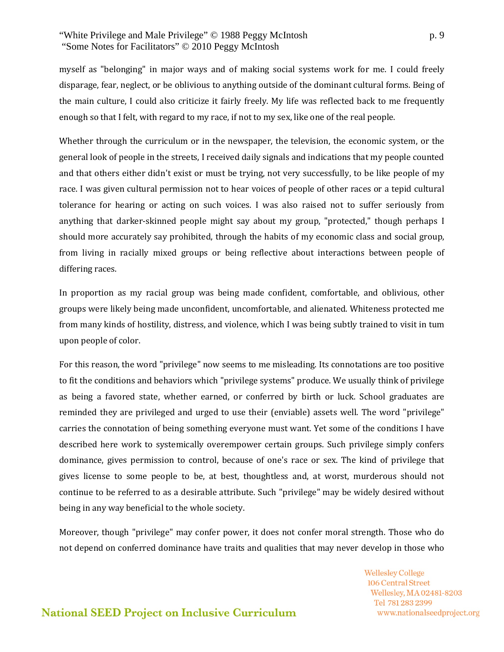#### "White Privilege and Male Privilege" © 1988 Peggy McIntosh p. 9 "Some Notes for Facilitators" © 2010 Peggy McIntosh

myself as "belonging" in major ways and of making social systems work for me. I could freely disparage, fear, neglect, or be oblivious to anything outside of the dominant cultural forms. Being of the main culture, I could also criticize it fairly freely. My life was reflected back to me frequently enough so that I felt, with regard to my race, if not to my sex, like one of the real people.

Whether through the curriculum or in the newspaper, the television, the economic system, or the general look of people in the streets, I received daily signals and indications that my people counted and that others either didn't exist or must be trying, not very successfully, to be like people of my race. I was given cultural permission not to hear voices of people of other races or a tepid cultural tolerance for hearing or acting on such voices. I was also raised not to suffer seriously from anything that darker-skinned people might say about my group, "protected," though perhaps I should more accurately say prohibited, through the habits of my economic class and social group, from living in racially mixed groups or being reflective about interactions between people of differing races.

In proportion as my racial group was being made confident, comfortable, and oblivious, other groups were likely being made unconfident, uncomfortable, and alienated. Whiteness protected me from many kinds of hostility, distress, and violence, which I was being subtly trained to visit in tum upon people of color.

For this reason, the word "privilege" now seems to me misleading. Its connotations are too positive to fit the conditions and behaviors which "privilege systems" produce. We usually think of privilege as being a favored state, whether earned, or conferred by birth or luck. School graduates are reminded they are privileged and urged to use their (enviable) assets well. The word "privilege" carries the connotation of being something everyone must want. Yet some of the conditions I have described here work to systemically overempower certain groups. Such privilege simply confers dominance, gives permission to control, because of one's race or sex. The kind of privilege that gives license to some people to be, at best, thoughtless and, at worst, murderous should not continue to be referred to as a desirable attribute. Such "privilege" may be widely desired without being in any way beneficial to the whole society.

Moreover, though "privilege" may confer power, it does not confer moral strength. Those who do not depend on conferred dominance have traits and qualities that may never develop in those who

> **Wellesley College** 106 Central Street Wellesley, MA 02481-8203 Tel 781 283 2399 www.nationalseedproject.org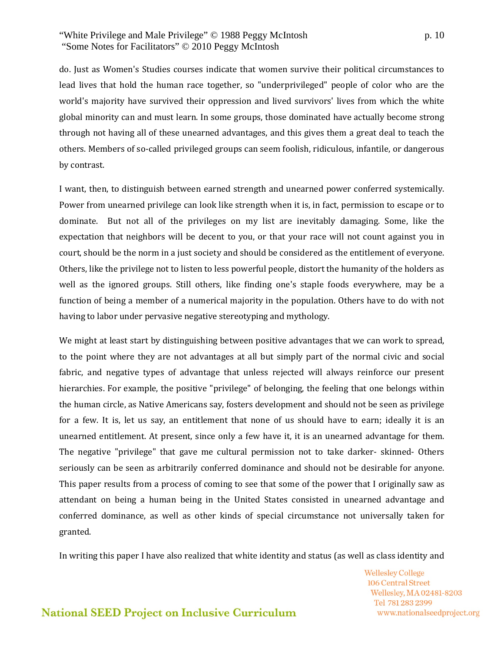#### "White Privilege and Male Privilege" © 1988 Peggy McIntosh p. 10 "Some Notes for Facilitators" © 2010 Peggy McIntosh

do. Just as Women's Studies courses indicate that women survive their political circumstances to lead lives that hold the human race together, so "underprivileged" people of color who are the world's majority have survived their oppression and lived survivors' lives from which the white global minority can and must learn. In some groups, those dominated have actually become strong through not having all of these unearned advantages, and this gives them a great deal to teach the others. Members of so-called privileged groups can seem foolish, ridiculous, infantile, or dangerous by contrast.

I want, then, to distinguish between earned strength and unearned power conferred systemically. Power from unearned privilege can look like strength when it is, in fact, permission to escape or to dominate. But not all of the privileges on my list are inevitably damaging. Some, like the expectation that neighbors will be decent to you, or that your race will not count against you in court, should be the norm in a just society and should be considered as the entitlement of everyone. Others, like the privilege not to listen to less powerful people, distort the humanity of the holders as well as the ignored groups. Still others, like finding one's staple foods everywhere, may be a function of being a member of a numerical majority in the population. Others have to do with not having to labor under pervasive negative stereotyping and mythology.

We might at least start by distinguishing between positive advantages that we can work to spread, to the point where they are not advantages at all but simply part of the normal civic and social fabric, and negative types of advantage that unless rejected will always reinforce our present hierarchies. For example, the positive "privilege" of belonging, the feeling that one belongs within the human circle, as Native Americans say, fosters development and should not be seen as privilege for a few. It is, let us say, an entitlement that none of us should have to earn; ideally it is an unearned entitlement. At present, since only a few have it, it is an unearned advantage for them. The negative "privilege" that gave me cultural permission not to take darker- skinned- Others seriously can be seen as arbitrarily conferred dominance and should not be desirable for anyone. This paper results from a process of coming to see that some of the power that I originally saw as attendant on being a human being in the United States consisted in unearned advantage and conferred dominance, as well as other kinds of special circumstance not universally taken for granted.

In writing this paper I have also realized that white identity and status (as well as class identity and

**Wellesley College** 106 Central Street Wellesley, MA 02481-8203 Tel 781 283 2399 www.nationalseedproject.org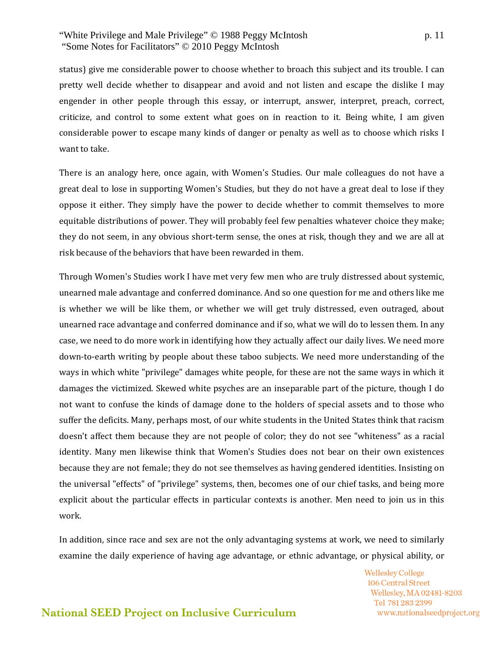#### "White Privilege and Male Privilege" © 1988 Peggy McIntosh p. 11 "Some Notes for Facilitators" © 2010 Peggy McIntosh

status) give me considerable power to choose whether to broach this subject and its trouble. I can pretty well decide whether to disappear and avoid and not listen and escape the dislike I may engender in other people through this essay, or interrupt, answer, interpret, preach, correct, criticize, and control to some extent what goes on in reaction to it. Being white, I am given considerable power to escape many kinds of danger or penalty as well as to choose which risks I want to take.

There is an analogy here, once again, with Women's Studies. Our male colleagues do not have a great deal to lose in supporting Women's Studies, but they do not have a great deal to lose if they oppose it either. They simply have the power to decide whether to commit themselves to more equitable distributions of power. They will probably feel few penalties whatever choice they make; they do not seem, in any obvious short-term sense, the ones at risk, though they and we are all at risk because of the behaviors that have been rewarded in them.

Through Women's Studies work I have met very few men who are truly distressed about systemic, unearned male advantage and conferred dominance. And so one question for me and others like me is whether we will be like them, or whether we will get truly distressed, even outraged, about unearned race advantage and conferred dominance and if so, what we will do to lessen them. In any case, we need to do more work in identifying how they actually affect our daily lives. We need more down-to-earth writing by people about these taboo subjects. We need more understanding of the ways in which white "privilege" damages white people, for these are not the same ways in which it damages the victimized. Skewed white psyches are an inseparable part of the picture, though I do not want to confuse the kinds of damage done to the holders of special assets and to those who suffer the deficits. Many, perhaps most, of our white students in the United States think that racism doesn't affect them because they are not people of color; they do not see "whiteness" as a racial identity. Many men likewise think that Women's Studies does not bear on their own existences because they are not female; they do not see themselves as having gendered identities. Insisting on the universal "effects" of "privilege" systems, then, becomes one of our chief tasks, and being more explicit about the particular effects in particular contexts is another. Men need to join us in this work.

In addition, since race and sex are not the only advantaging systems at work, we need to similarly examine the daily experience of having age advantage, or ethnic advantage, or physical ability, or

> **Wellesley College** 106 Central Street Wellesley, MA 02481-8203 Tel 781 283 2399 www.nationalseedproject.org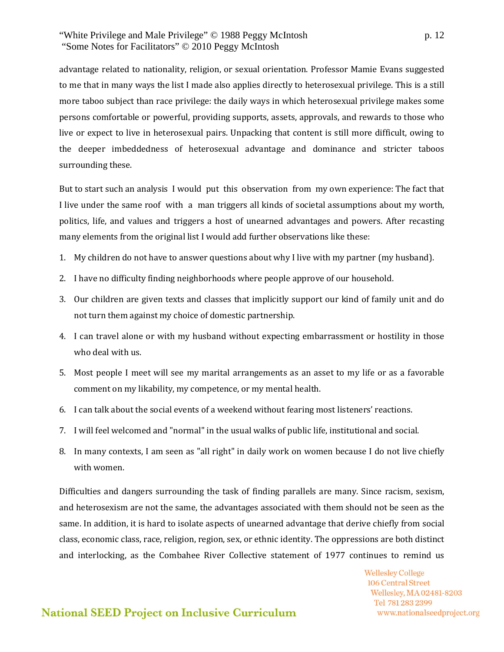#### "White Privilege and Male Privilege" © 1988 Peggy McIntosh p. 12 "Some Notes for Facilitators" © 2010 Peggy McIntosh

advantage related to nationality, religion, or sexual orientation. Professor Mamie Evans suggested to me that in many ways the list I made also applies directly to heterosexual privilege. This is a still more taboo subject than race privilege: the daily ways in which heterosexual privilege makes some persons comfortable or powerful, providing supports, assets, approvals, and rewards to those who live or expect to live in heterosexual pairs. Unpacking that content is still more difficult, owing to the deeper imbeddedness of heterosexual advantage and dominance and stricter taboos surrounding these.

But to start such an analysis I would put this observation from my own experience: The fact that I live under the same roof with a man triggers all kinds of societal assumptions about my worth, politics, life, and values and triggers a host of unearned advantages and powers. After recasting many elements from the original list I would add further observations like these:

- 1. My children do not have to answer questions about why I live with my partner (my husband).
- 2. I have no difficulty finding neighborhoods where people approve of our household.
- 3. Our children are given texts and classes that implicitly support our kind of family unit and do not turn them against my choice of domestic partnership.
- 4. I can travel alone or with my husband without expecting embarrassment or hostility in those who deal with us.
- 5. Most people I meet will see my marital arrangements as an asset to my life or as a favorable comment on my likability, my competence, or my mental health.
- 6. I can talk about the social events of a weekend without fearing most listeners' reactions.
- 7. I will feel welcomed and "normal" in the usual walks of public life, institutional and social.
- 8. In many contexts, I am seen as "all right" in daily work on women because I do not live chiefly with women.

Difficulties and dangers surrounding the task of finding parallels are many. Since racism, sexism, and heterosexism are not the same, the advantages associated with them should not be seen as the same. In addition, it is hard to isolate aspects of unearned advantage that derive chiefly from social class, economic class, race, religion, region, sex, or ethnic identity. The oppressions are both distinct and interlocking, as the Combahee River Collective statement of 1977 continues to remind us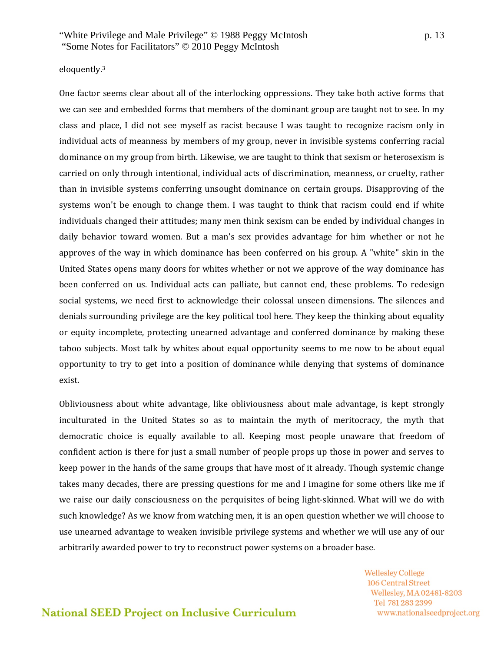eloquently.3

One factor seems clear about all of the interlocking oppressions. They take both active forms that we can see and embedded forms that members of the dominant group are taught not to see. In my class and place, I did not see myself as racist because I was taught to recognize racism only in individual acts of meanness by members of my group, never in invisible systems conferring racial dominance on my group from birth. Likewise, we are taught to think that sexism or heterosexism is carried on only through intentional, individual acts of discrimination, meanness, or cruelty, rather than in invisible systems conferring unsought dominance on certain groups. Disapproving of the systems won't be enough to change them. I was taught to think that racism could end if white individuals changed their attitudes; many men think sexism can be ended by individual changes in daily behavior toward women. But a man's sex provides advantage for him whether or not he approves of the way in which dominance has been conferred on his group. A "white" skin in the United States opens many doors for whites whether or not we approve of the way dominance has been conferred on us. Individual acts can palliate, but cannot end, these problems. To redesign social systems, we need first to acknowledge their colossal unseen dimensions. The silences and denials surrounding privilege are the key political tool here. They keep the thinking about equality or equity incomplete, protecting unearned advantage and conferred dominance by making these taboo subjects. Most talk by whites about equal opportunity seems to me now to be about equal opportunity to try to get into a position of dominance while denying that systems of dominance exist.

Obliviousness about white advantage, like obliviousness about male advantage, is kept strongly inculturated in the United States so as to maintain the myth of meritocracy, the myth that democratic choice is equally available to all. Keeping most people unaware that freedom of confident action is there for just a small number of people props up those in power and serves to keep power in the hands of the same groups that have most of it already. Though systemic change takes many decades, there are pressing questions for me and I imagine for some others like me if we raise our daily consciousness on the perquisites of being light-skinned. What will we do with such knowledge? As we know from watching men, it is an open question whether we will choose to use unearned advantage to weaken invisible privilege systems and whether we will use any of our arbitrarily awarded power to try to reconstruct power systems on a broader base.

> **Wellesley College** 106 Central Street Wellesley, MA 02481-8203 Tel 781 283 2399 www.nationalseedproject.org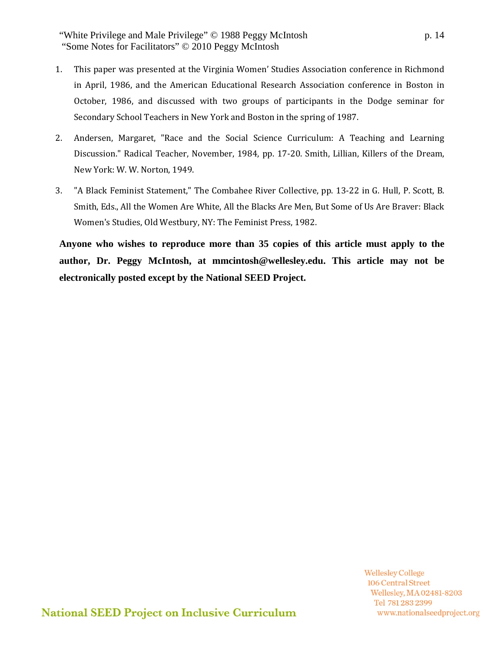"White Privilege and Male Privilege" © 1988 Peggy McIntosh p. 14 "Some Notes for Facilitators" © 2010 Peggy McIntosh

- 1. This paper was presented at the Virginia Women' Studies Association conference in Richmond in April, 1986, and the American Educational Research Association conference in Boston in October, 1986, and discussed with two groups of participants in the Dodge seminar for Secondary School Teachers in New York and Boston in the spring of 1987.
- 2. Andersen, Margaret, "Race and the Social Science Curriculum: A Teaching and Learning Discussion." Radical Teacher, November, 1984, pp. 17-20. Smith, Lillian, Killers of the Dream, New York: W. W. Norton, 1949.
- 3. "A Black Feminist Statement," The Combahee River Collective, pp. 13-22 in G. Hull, P. Scott, B. Smith, Eds., All the Women Are White, All the Blacks Are Men, But Some of Us Are Braver: Black Women's Studies, Old Westbury, NY: The Feminist Press, 1982.

**Anyone who wishes to reproduce more than 35 copies of this article must apply to the author, Dr. Peggy McIntosh, at mmcintosh@wellesley.edu. This article may not be electronically posted except by the National SEED Project.**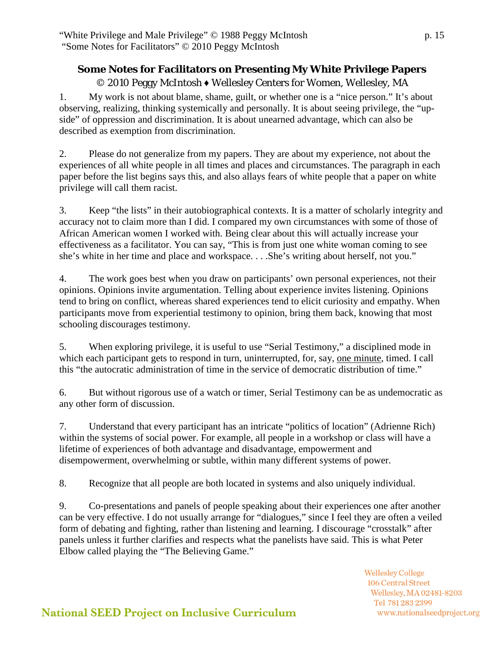## **Some Notes for Facilitators on Presenting My White Privilege Papers** © 2010 Peggy McIntosh ♦ Wellesley Centers for Women, Wellesley, MA

1. My work is not about blame, shame, guilt, or whether one is a "nice person." It's about observing, realizing, thinking systemically and personally. It is about seeing privilege, the "upside" of oppression and discrimination. It is about unearned advantage, which can also be described as exemption from discrimination.

2. Please do not generalize from my papers. They are about my experience, not about the experiences of all white people in all times and places and circumstances. The paragraph in each paper before the list begins says this, and also allays fears of white people that a paper on white privilege will call them racist.

3. Keep "the lists" in their autobiographical contexts. It is a matter of scholarly integrity and accuracy not to claim more than I did. I compared my own circumstances with some of those of African American women I worked with. Being clear about this will actually increase your effectiveness as a facilitator. You can say, "This is from just one white woman coming to see she's white in her time and place and workspace. . . .She's writing about herself, not you."

4. The work goes best when you draw on participants' own personal experiences, not their opinions. Opinions invite argumentation. Telling about experience invites listening. Opinions tend to bring on conflict, whereas shared experiences tend to elicit curiosity and empathy. When participants move from experiential testimony to opinion, bring them back, knowing that most schooling discourages testimony.

5. When exploring privilege, it is useful to use "Serial Testimony," a disciplined mode in which each participant gets to respond in turn, uninterrupted, for, say, one minute, timed. I call this "the autocratic administration of time in the service of democratic distribution of time."

6. But without rigorous use of a watch or timer, Serial Testimony can be as undemocratic as any other form of discussion.

7. Understand that every participant has an intricate "politics of location" (Adrienne Rich) within the systems of social power. For example, all people in a workshop or class will have a lifetime of experiences of both advantage and disadvantage, empowerment and disempowerment, overwhelming or subtle, within many different systems of power.

8. Recognize that all people are both located in systems and also uniquely individual.

9. Co-presentations and panels of people speaking about their experiences one after another can be very effective. I do not usually arrange for "dialogues," since I feel they are often a veiled form of debating and fighting, rather than listening and learning. I discourage "crosstalk" after panels unless it further clarifies and respects what the panelists have said. This is what Peter Elbow called playing the "The Believing Game."

> **Wellesley College** 106 Central Street Wellesley, MA 02481-8203 Tel 781 283 2399 www.nationalseedproject.org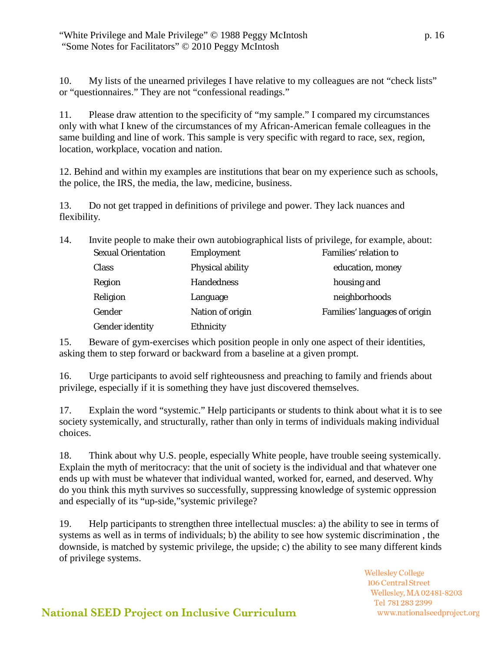10. My lists of the unearned privileges I have relative to my colleagues are not "check lists" or "questionnaires." They are not "confessional readings."

11. Please draw attention to the specificity of "my sample." I compared my circumstances only with what I knew of the circumstances of my African-American female colleagues in the same building and line of work. This sample is very specific with regard to race, sex, region, location, workplace, vocation and nation.

12. Behind and within my examples are institutions that bear on my experience such as schools, the police, the IRS, the media, the law, medicine, business.

13. Do not get trapped in definitions of privilege and power. They lack nuances and flexibility.

| 14. | Invite people to make their own autobiographical lists of privilege, for example, about: |                  |                               |
|-----|------------------------------------------------------------------------------------------|------------------|-------------------------------|
|     | <b>Sexual Orientation</b>                                                                | Employment       | Families' relation to         |
|     | Class                                                                                    | Physical ability | education, money              |
|     | Region                                                                                   | Handedness       | housing and                   |
|     | Religion                                                                                 | Language         | neighborhoods                 |
|     | Gender                                                                                   | Nation of origin | Families' languages of origin |
|     | <b>Gender identity</b>                                                                   | Ethnicity        |                               |

15. Beware of gym-exercises which position people in only one aspect of their identities, asking them to step forward or backward from a baseline at a given prompt.

16. Urge participants to avoid self righteousness and preaching to family and friends about privilege, especially if it is something they have just discovered themselves.

17. Explain the word "systemic." Help participants or students to think about what it is to see society systemically, and structurally, rather than only in terms of individuals making individual choices.

18. Think about why U.S. people, especially White people, have trouble seeing systemically. Explain the myth of meritocracy: that the unit of society is the individual and that whatever one ends up with must be whatever that individual wanted, worked for, earned, and deserved. Why do you think this myth survives so successfully, suppressing knowledge of systemic oppression and especially of its "up-side,"systemic privilege?

19. Help participants to strengthen three intellectual muscles: a) the ability to see in terms of systems as well as in terms of individuals; b) the ability to see how systemic discrimination , the downside, is matched by systemic privilege, the upside; c) the ability to see many different kinds of privilege systems.

> **Wellesley College** 106 Central Street Wellesley, MA 02481-8203 Tel 781 283 2399 www.nationalseedproject.org